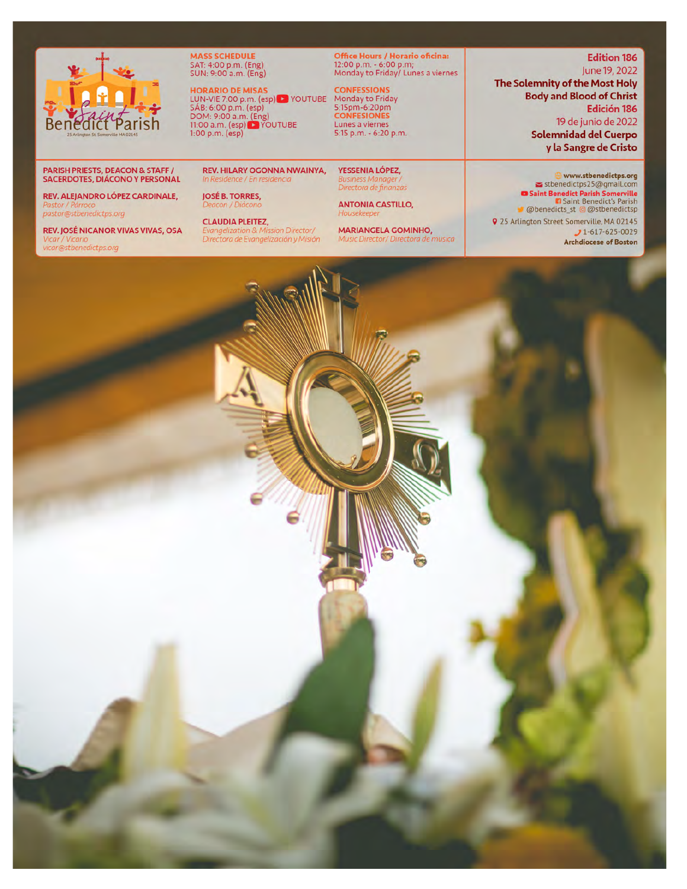

MASS SCHEDULE<br>SAT: 4:00 p.m. (Eng)<br>SUN: 9:00 a.m. (Eng)

**HORARIO DE MISAS**<br>
LUN-VIE 7:00 p.m. (esp) DI YOUTUBE Monday to Friday<br>
SÁB: 6:00 p.m. (esp) BISDM: 9:00 a.m. (Eng)<br>
DOM: 9:00 a.m. (Eng) DIVOUTUBE Lunes a viernes<br>
11:00 a.m. (esp) DIVOUTUBE Lunes a viernes<br>
1:00 p.m. (e

**Office Hours / Horario oficina:**<br>12:00 p.m. - 6:00 p.m;<br>Monday to Friday/ Lunes a viernes

5:15 p.m. - 6:20 p.m.

YESSENIA LÓPEZ, Directora de finanzas

**ANTONIA CASTILLO,** lousekeepe

**MARIANGELA GOMINHO,** Music Director/ Directora de musica

**Edition 186** June 19, 2022 The Solemnity of the Most Holy **Body and Blood of Christ** Edición 186 19 de junio de 2022

**Solemnidad del Cuerpo** y la Sangre de Cristo

www.stbenedictps.org stbenedictps25@gmail.com ■ Saint Benedict Parish Somerville<br>
■ Saint Benedict's Parish<br>
■ Saint Benedict's Parish<br>
■ @ benedicts\_st @ @ stbenedictsp 9 25 Arlington Street Somerville, MA 02145  $1-617-625-0029$ **Archdiocese of Boston** 

#### **PARISH PRIESTS, DEACON & STAFF /** SACERDOTES, DIÁCONO Y PERSONAL

REV. ALEJANDRO LÓPEZ CARDINALE, pastor@stbenedictps.org

REV. JOSÉ NICANOR VIVAS VIVAS, OSA ar@stbenedictps.org

Deacon / Diácono **CLAUDIA PLEITEZ,** 

In Residence / En residencia

**JOSÉ B. TORRES,** 

**REV. HILARY OGONNA NWAINYA,** 

Evangelization & Mission Director/<br>Directora de Evangelización y Misión

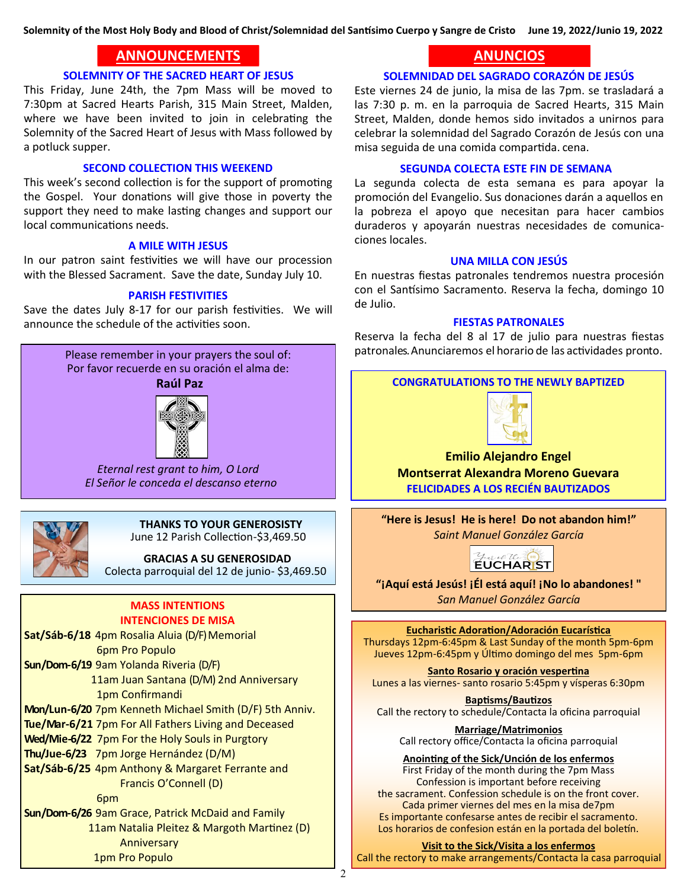**Solemnity of the Most Holy Body and Blood of Christ/Solemnidad del Santísimo Cuerpo y Sangre de Cristo June 19, 2022/Junio 19, 2022**

## **ANNOUNCEMENTS ANNOUNCEMENTS**

#### **SOLEMNITY OF THE SACRED HEART OF JESUS**

This Friday, June 24th, the 7pm Mass will be moved to 7:30pm at Sacred Hearts Parish, 315 Main Street, Malden, where we have been invited to join in celebrating the Solemnity of the Sacred Heart of Jesus with Mass followed by a potluck supper.

#### **SECOND COLLECTION THIS WEEKEND**

This week's second collection is for the support of promoting the Gospel. Your donations will give those in poverty the support they need to make lasting changes and support our local communications needs.

#### **A MILE WITH JESUS**

In our patron saint festivities we will have our procession with the Blessed Sacrament. Save the date, Sunday July 10.

#### **PARISH FESTIVITIES**

Save the dates July 8-17 for our parish festivities. We will announce the schedule of the activities soon.

> Please remember in your prayers the soul of: Por favor recuerde en su oración el alma de:

#### **Raúl Paz**



*Eternal rest grant to him, O Lord El Señor le conceda el descanso eterno*



## **THANKS TO YOUR GENEROSISTY**

June 12 Parish Collection-\$3,469.50

 **GRACIAS A SU GENEROSIDAD**  Colecta parroquial del 12 de junio- \$3,469.50

#### **MASS INTENTIONS INTENCIONES DE MISA**

**Sat/Sáb-6/18** 4pm Rosalia Aluia (D/F) Memorial 6pm Pro Populo

**Sun/Dom-6/19** 9am Yolanda Riveria (D/F) 11am Juan Santana (D/M) 2nd Anniversary 1pm Confirmandi

**Mon/Lun-6/20** 7pm Kenneth Michael Smith (D/F) 5th Anniv.

**Tue/Mar-6/21** 7pm For All Fathers Living and Deceased

**Wed/Mie-6/22** 7pm For the Holy Souls in Purgtory

**Thu/Jue-6/23** 7pm Jorge Hernández (D/M)

**Sat/Sáb-6/25** 4pm Anthony & Margaret Ferrante and Francis O'Connell (D)

6pm

**Sun/Dom-6/26** 9am Grace, Patrick McDaid and Family 11am Natalia Pleitez & Margoth Martinez (D) Anniversary 1pm Pro Populo

## **ANUNCIOS ANUNCIOS**

#### **SOLEMNIDAD DEL SAGRADO CORAZÓN DE JESÚS**

Este viernes 24 de junio, la misa de las 7pm. se trasladará a las 7:30 p. m. en la parroquia de Sacred Hearts, 315 Main Street, Malden, donde hemos sido invitados a unirnos para celebrar la solemnidad del Sagrado Corazón de Jesús con una misa seguida de una comida compartida. cena.

#### **SEGUNDA COLECTA ESTE FIN DE SEMANA**

La segunda colecta de esta semana es para apoyar la promoción del Evangelio. Sus donaciones darán a aquellos en la pobreza el apoyo que necesitan para hacer cambios duraderos y apoyarán nuestras necesidades de comunicaciones locales.

#### **UNA MILLA CON JESÚS**

En nuestras fiestas patronales tendremos nuestra procesión con el Santísimo Sacramento. Reserva la fecha, domingo 10 de Julio.

#### **FIESTAS PATRONALES**

Reserva la fecha del 8 al 17 de julio para nuestras fiestas patronales. Anunciaremos el horario de las actividades pronto.

**CONGRATULATIONS TO THE NEWLY BAPTIZED**



**Emilio Alejandro Engel Montserrat Alexandra Moreno Guevara FELICIDADES A LOS RECIÉN BAUTIZADOS**

**"Here is Jesus! He is here! Do not abandon him!"** *Saint Manuel González García*



**"¡Aquí está Jesús! ¡Él está aquí! ¡No lo abandones! "** *San Manuel González García*

**Eucharistic Adoration/Adoración Eucarística** Thursdays 12pm-6:45pm & Last Sunday of the month 5pm-6pm Jueves 12pm-6:45pm y Último domingo del mes 5pm-6pm

**Santo Rosario y oración vespertina** Lunes a las viernes- santo rosario 5:45pm y vísperas 6:30pm

**Baptisms/Bautizos** Call the rectory to schedule/Contacta la oficina parroquial

**Marriage/Matrimonios** Call rectory office/Contacta la oficina parroquial

**Anointing of the Sick/Unción de los enfermos** First Friday of the month during the 7pm Mass Confession is important before receiving the sacrament. Confession schedule is on the front cover. Cada primer viernes del mes en la misa de7pm Es importante confesarse antes de recibir el sacramento. Los horarios de confesion están en la portada del boletín.

**Visit to the Sick/Visita a los enfermos**

Call the rectory to make arrangements/Contacta la casa parroquial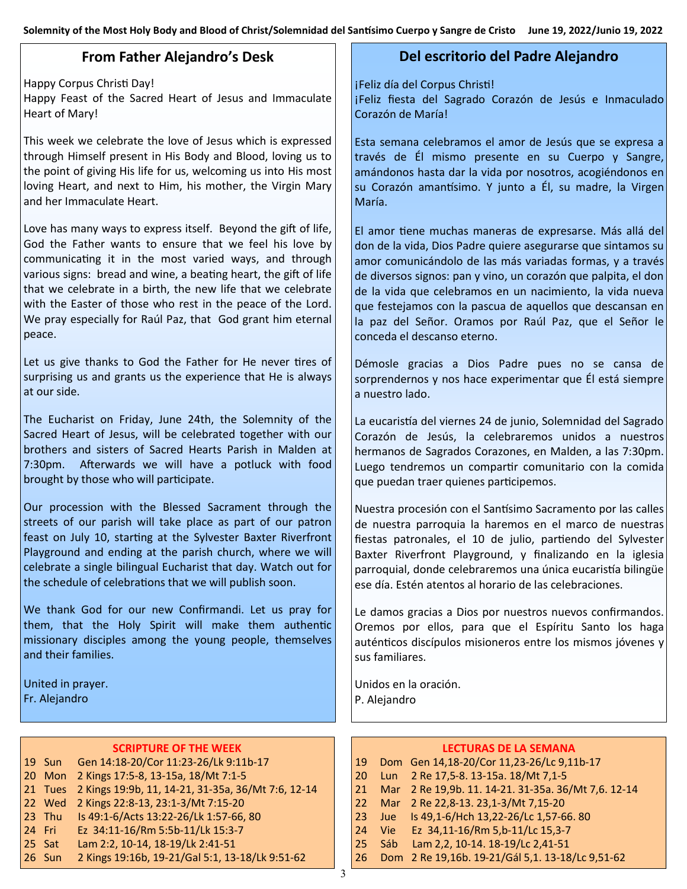## **From Father Alejandro's Desk**

Happy Corpus Christi Day!

Happy Feast of the Sacred Heart of Jesus and Immaculate Heart of Mary!

This week we celebrate the love of Jesus which is expressed through Himself present in His Body and Blood, loving us to the point of giving His life for us, welcoming us into His most loving Heart, and next to Him, his mother, the Virgin Mary and her Immaculate Heart.

Love has many ways to express itself. Beyond the gift of life, God the Father wants to ensure that we feel his love by communicating it in the most varied ways, and through various signs: bread and wine, a beating heart, the gift of life that we celebrate in a birth, the new life that we celebrate with the Easter of those who rest in the peace of the Lord. We pray especially for Raúl Paz, that God grant him eternal peace.

Let us give thanks to God the Father for He never tires of surprising us and grants us the experience that He is always at our side.

The Eucharist on Friday, June 24th, the Solemnity of the Sacred Heart of Jesus, will be celebrated together with our brothers and sisters of Sacred Hearts Parish in Malden at 7:30pm. Afterwards we will have a potluck with food brought by those who will participate.

Our procession with the Blessed Sacrament through the streets of our parish will take place as part of our patron feast on July 10, starting at the Sylvester Baxter Riverfront Playground and ending at the parish church, where we will celebrate a single bilingual Eucharist that day. Watch out for the schedule of celebrations that we will publish soon.

We thank God for our new Confirmandi. Let us pray for them, that the Holy Spirit will make them authentic missionary disciples among the young people, themselves and their families.

United in prayer. Fr. Alejandro

#### **SCRIPTURE OF THE WEEK**

|        | 19 Sun Gen 14:18-20/Cor 11:23-26/Lk 9:11b-17               |
|--------|------------------------------------------------------------|
|        | 20 Mon 2 Kings 17:5-8, 13-15a, 18/Mt 7:1-5                 |
|        | 21 Tues 2 Kings 19:9b, 11, 14-21, 31-35a, 36/Mt 7:6, 12-14 |
|        | 22 Wed 2 Kings 22:8-13, 23:1-3/Mt 7:15-20                  |
| 23 Thu | Is 49:1-6/Acts 13:22-26/Lk 1:57-66, 80                     |
| 24 Fri | Ez 34:11-16/Rm 5:5b-11/Lk 15:3-7                           |
| 25 Sat | Lam 2:2, 10-14, 18-19/Lk 2:41-51                           |
| 26 Sun | 2 Kings 19:16b, 19-21/Gal 5:1, 13-18/Lk 9:51-62            |
|        |                                                            |

### **Del escritorio del Padre Alejandro**

¡Feliz día del Corpus Christi!

¡Feliz fiesta del Sagrado Corazón de Jesús e Inmaculado Corazón de María!

Esta semana celebramos el amor de Jesús que se expresa a través de Él mismo presente en su Cuerpo y Sangre, amándonos hasta dar la vida por nosotros, acogiéndonos en su Corazón amantísimo. Y junto a Él, su madre, la Virgen María.

El amor tiene muchas maneras de expresarse. Más allá del don de la vida, Dios Padre quiere asegurarse que sintamos su amor comunicándolo de las más variadas formas, y a través de diversos signos: pan y vino, un corazón que palpita, el don de la vida que celebramos en un nacimiento, la vida nueva que festejamos con la pascua de aquellos que descansan en la paz del Señor. Oramos por Raúl Paz, que el Señor le conceda el descanso eterno.

Démosle gracias a Dios Padre pues no se cansa de sorprendernos y nos hace experimentar que Él está siempre a nuestro lado.

La eucaristía del viernes 24 de junio, Solemnidad del Sagrado Corazón de Jesús, la celebraremos unidos a nuestros hermanos de Sagrados Corazones, en Malden, a las 7:30pm. Luego tendremos un compartir comunitario con la comida que puedan traer quienes participemos.

Nuestra procesión con el Santísimo Sacramento por las calles de nuestra parroquia la haremos en el marco de nuestras fiestas patronales, el 10 de julio, partiendo del Sylvester Baxter Riverfront Playground, y finalizando en la iglesia parroquial, donde celebraremos una única eucaristía bilingüe ese día. Estén atentos al horario de las celebraciones.

Le damos gracias a Dios por nuestros nuevos confirmandos. Oremos por ellos, para que el Espíritu Santo los haga auténticos discípulos misioneros entre los mismos jóvenes y sus familiares.

Unidos en la oración. P. Alejandro

#### **LECTURAS DE LA SEMANA**

- 19 Dom Gen 14,18-20/Cor 11,23-26/Lc 9,11b-17
- 20 Lun 2 Re 17,5-8. 13-15a. 18/Mt 7,1-5
- 21 Mar 2 Re 19,9b. 11. 14-21. 31-35a. 36/Mt 7,6. 12-14
- 22 Mar 2 Re 22,8-13. 23,1-3/Mt 7,15-20
- 23 Jue Is 49,1-6/Hch 13,22-26/Lc 1,57-66. 80
- 24 Vie Ez 34,11-16/Rm 5,b-11/Lc 15,3-7
- 25 Sáb Lam 2,2, 10-14. 18-19/Lc 2,41-51
- 26 Dom 2 Re 19,16b. 19-21/Gál 5,1. 13-18/Lc 9,51-62